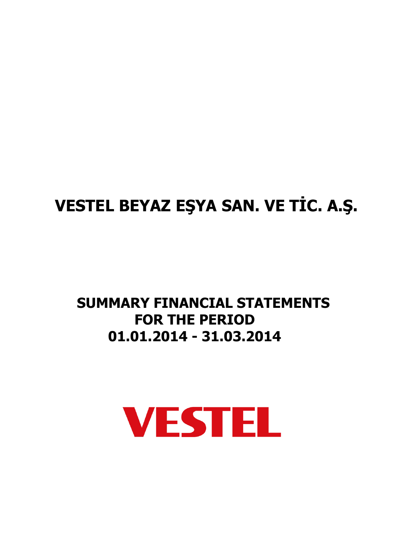# **VESTEL BEYAZ EŞYA SAN. VE TİC. A.Ş.**

# **SUMMARY FINANCIAL STATEMENTS FOR THE PERIOD 01.01.2014 - 31.03.2014**

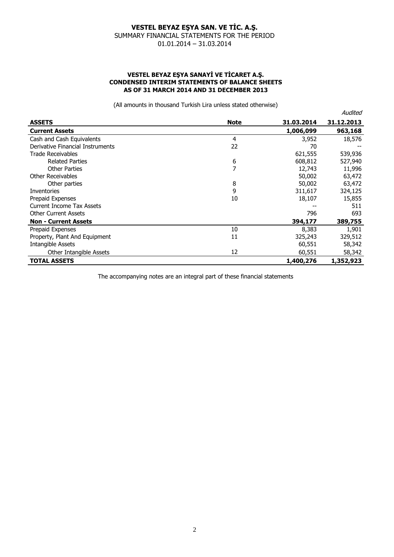### **VESTEL BEYAZ EŞYA SANAYİ VE TİCARET A.Ş. CONDENSED INTERIM STATEMENTS OF BALANCE SHEETS AS OF 31 MARCH 2014 AND 31 DECEMBER 2013**

(All amounts in thousand Turkish Lira unless stated otherwise)

|                                  |                |            | Audited    |
|----------------------------------|----------------|------------|------------|
| <b>ASSETS</b>                    | <b>Note</b>    | 31.03.2014 | 31.12.2013 |
| <b>Current Assets</b>            |                | 1,006,099  | 963,168    |
| Cash and Cash Equivalents        | 4              | 3,952      | 18,576     |
| Derivative Financial Instruments | 22             | 70         |            |
| <b>Trade Receivables</b>         |                | 621,555    | 539,936    |
| <b>Related Parties</b>           | 6              | 608,812    | 527,940    |
| <b>Other Parties</b>             | $\overline{7}$ | 12,743     | 11,996     |
| Other Receivables                |                | 50,002     | 63,472     |
| Other parties                    | 8              | 50,002     | 63,472     |
| Inventories                      | 9              | 311,617    | 324,125    |
| Prepaid Expenses                 | 10             | 18,107     | 15,855     |
| Current Income Tax Assets        |                |            | 511        |
| <b>Other Current Assets</b>      |                | 796        | 693        |
| <b>Non - Current Assets</b>      |                | 394,177    | 389,755    |
| Prepaid Expenses                 | 10             | 8,383      | 1,901      |
| Property, Plant And Equipment    | 11             | 325,243    | 329,512    |
| <b>Intangible Assets</b>         |                | 60,551     | 58,342     |
| Other Intangible Assets          | 12             | 60,551     | 58,342     |
| <b>TOTAL ASSETS</b>              |                | 1,400,276  | 1,352,923  |

The accompanying notes are an integral part of these financial statements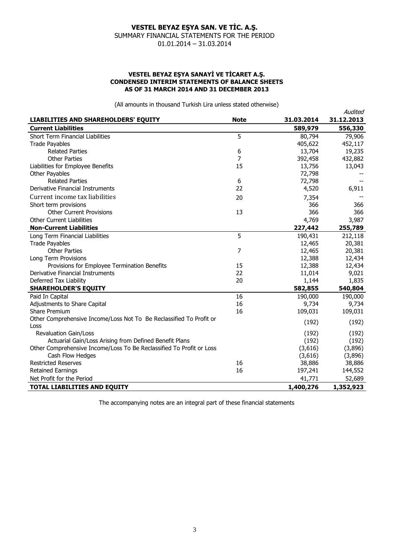# **VESTEL BEYAZ EŞYA SANAYİ VE TİCARET A.Ş. CONDENSED INTERIM STATEMENTS OF BALANCE SHEETS AS OF 31 MARCH 2014 AND 31 DECEMBER 2013**

(All amounts in thousand Turkish Lira unless stated otherwise)

|                                                                      |             |            | Audited    |
|----------------------------------------------------------------------|-------------|------------|------------|
| LIABILITIES AND SHAREHOLDERS' EQUITY                                 | <b>Note</b> | 31.03.2014 | 31.12.2013 |
| <b>Current Liabilities</b>                                           |             | 589,979    | 556,330    |
| <b>Short Term Financial Liabilities</b>                              | 5           | 80,794     | 79,906     |
| <b>Trade Payables</b>                                                |             | 405,622    | 452,117    |
| <b>Related Parties</b>                                               | 6           | 13,704     | 19,235     |
| <b>Other Parties</b>                                                 | 7           | 392,458    | 432,882    |
| Liabilities for Employee Benefits                                    | 15          | 13,756     | 13,043     |
| <b>Other Payables</b>                                                |             | 72,798     |            |
| <b>Related Parties</b>                                               | 6           | 72,798     |            |
| Derivative Financial Instruments                                     | 22          | 4,520      | 6,911      |
| Current income tax liabilities                                       | 20          | 7,354      |            |
| Short term provisions                                                |             | 366        | 366        |
| <b>Other Current Provisions</b>                                      | 13          | 366        | 366        |
| <b>Other Current Liabilities</b>                                     |             | 4,769      | 3,987      |
| <b>Non-Current Liabilities</b>                                       |             | 227,442    | 255,789    |
| Long Term Financial Liabilities                                      | 5           | 190,431    | 212,118    |
| <b>Trade Payables</b>                                                |             | 12,465     | 20,381     |
| <b>Other Parties</b>                                                 | 7           | 12,465     | 20,381     |
| Long Term Provisions                                                 |             | 12,388     | 12,434     |
| Provisions for Employee Termination Benefits                         | 15          | 12,388     | 12,434     |
| Derivative Financial Instruments                                     | 22          | 11,014     | 9,021      |
| Deferred Tax Liability                                               | 20          | 1,144      | 1,835      |
| <b>SHAREHOLDER'S EQUITY</b>                                          |             | 582,855    | 540,804    |
| Paid In Capital                                                      | 16          | 190,000    | 190,000    |
| Adjustments to Share Capital                                         | 16          | 9,734      | 9,734      |
| Share Premium                                                        | 16          | 109,031    | 109,031    |
| Other Comprehensive Income/Loss Not To Be Reclassified To Profit or  |             | (192)      | (192)      |
| Loss                                                                 |             |            |            |
| <b>Revaluation Gain/Loss</b>                                         |             | (192)      | (192)      |
| Actuarial Gain/Loss Arising from Defined Benefit Plans               |             | (192)      | (192)      |
| Other Comprehensive Income/Loss To Be Reclassified To Profit or Loss |             | (3,616)    | (3,896)    |
| Cash Flow Hedges                                                     |             | (3,616)    | (3,896)    |
| <b>Restricted Reserves</b>                                           | 16          | 38,886     | 38,886     |
| <b>Retained Earnings</b>                                             | 16          | 197,241    | 144,552    |
| Net Profit for the Period                                            |             | 41,771     | 52,689     |
| <b>TOTAL LIABILITIES AND EQUITY</b>                                  |             | 1,400,276  | 1,352,923  |

The accompanying notes are an integral part of these financial statements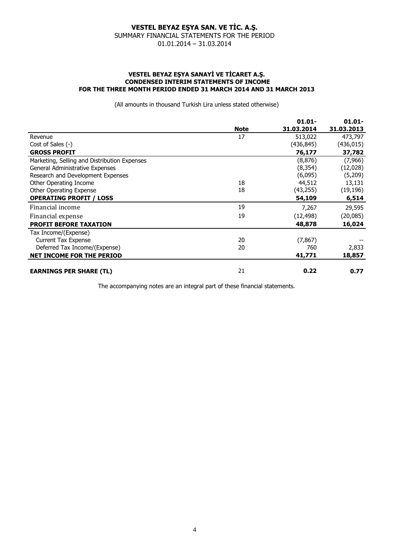#### **VESTEL BEYAZ EŞYA SANAYİ VE TİCARET A.Ş. CONDENSED INTERIM STATEMENTS OF INCOME FOR THE THREE MONTH PERIOD ENDED 31 MARCH 2014 AND 31 MARCH 2013**

(All amounts in thousand Turkish Lira unless stated otherwise)

|                                              |             | $01.01 -$  | $01.01 -$  |
|----------------------------------------------|-------------|------------|------------|
|                                              | <b>Note</b> | 31.03.2014 | 31.03.2013 |
| Revenue                                      | 17          | 513,022    | 473,797    |
| Cost of Sales (-)                            |             | (436,845)  | (436, 015) |
| <b>GROSS PROFIT</b>                          |             | 76,177     | 37,782     |
| Marketing, Selling and Distribution Expenses |             | (8,876)    | (7,966)    |
| General Administrative Expenses              |             | (8, 354)   | (12,028)   |
| Research and Development Expenses            |             | (6,095)    | (5,209)    |
| Other Operating Income                       | 18          | 44,512     | 13,131     |
| Other Operating Expense                      | 18          | (43,255)   | (19, 196)  |
| <b>OPERATING PROFIT / LOSS</b>               |             | 54,109     | 6,514      |
| Financial income                             | 19          | 7,267      | 29,595     |
| Financial expense                            | 19          | (12, 498)  | (20,085)   |
| <b>PROFIT BEFORE TAXATION</b>                |             | 48,878     | 16,024     |
| Tax Income/(Expense)                         |             |            |            |
| <b>Current Tax Expense</b>                   | 20          | (7, 867)   |            |
| Deferred Tax Income/(Expense)                | 20          | 760        | 2,833      |
| <b>NET INCOME FOR THE PERIOD</b>             |             | 41,771     | 18,857     |
| <b>EARNINGS PER SHARE (TL)</b>               | 21          | 0.22       | 0.77       |

The accompanying notes are an integral part of these financial statements.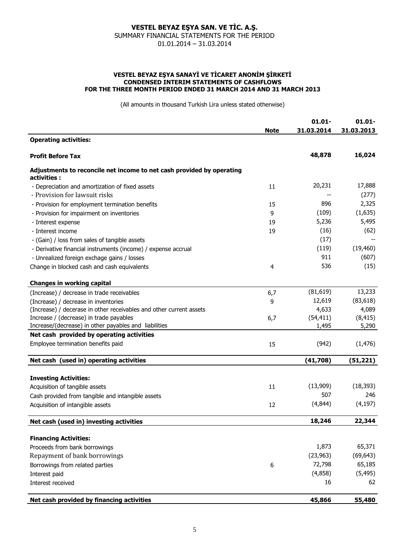#### **VESTEL BEYAZ EŞYA SANAYİ VE TİCARET ANONİM ŞİRKETİ CONDENSED INTERIM STATEMENTS OF CASHFLOWS FOR THE THREE MONTH PERIOD ENDED 31 MARCH 2014 AND 31 MARCH 2013**

(All amounts in thousand Turkish Lira unless stated otherwise)

|                                                                                      |             | $01.01 -$  | $01.01 -$  |
|--------------------------------------------------------------------------------------|-------------|------------|------------|
| <b>Operating activities:</b>                                                         | <b>Note</b> | 31.03.2014 | 31.03.2013 |
| <b>Profit Before Tax</b>                                                             |             | 48,878     | 16,024     |
| Adjustments to reconcile net income to net cash provided by operating<br>activities: |             |            |            |
| - Depreciation and amortization of fixed assets                                      | 11          | 20,231     | 17,888     |
| - Provision for lawsuit risks                                                        |             |            | (277)      |
| - Provision for employment termination benefits                                      | 15          | 896        | 2,325      |
| - Provision for impairment on inventories                                            | 9           | (109)      | (1,635)    |
| - Interest expense                                                                   | 19          | 5,236      | 5,495      |
| - Interest income                                                                    | 19          | (16)       | (62)       |
| - (Gain) / loss from sales of tangible assets                                        |             | (17)       |            |
| - Derivative financial instruments (income) / expense accrual                        |             | (119)      | (19, 460)  |
| - Unrealized foreign exchage gains / losses                                          |             | 911        | (607)      |
| Change in blocked cash and cash equivalents                                          | 4           | 536        | (15)       |
| <b>Changes in working capital</b>                                                    |             |            |            |
| (Increase) / decrease in trade receivables                                           | 6,7         | (81, 619)  | 13,233     |
| (Increase) / decrease in inventories                                                 | 9           | 12,619     | (83, 618)  |
| (Increase) / decerase in other receivables and other current assets                  |             | 4,633      | 4,089      |
| Increase / (decrease) in trade payables                                              | 6,7         | (54, 411)  | (8, 415)   |
| Increase/(decrease) in other payables and liabilities                                |             | 1,495      | 5,290      |
| Net cash provided by operating activities                                            |             |            |            |
| Employee termination benefits paid                                                   | 15          | (942)      | (1, 476)   |
|                                                                                      |             |            |            |
| Net cash (used in) operating activities                                              |             | (41,708)   | (51, 221)  |
| <b>Investing Activities:</b>                                                         |             |            |            |
| Acquisition of tangible assets                                                       | 11          | (13,909)   | (18, 393)  |
| Cash provided from tangible and intangible assets                                    |             | 507        | 246        |
| Acquisition of intangible assets                                                     | 12          | (4,844)    | (4, 197)   |
| Net cash (used in) investing activities                                              |             | 18,246     | 22,344     |
| <b>Financing Activities:</b>                                                         |             |            |            |
| Proceeds from bank borrowings                                                        |             | 1,873      | 65,371     |
| Repayment of bank borrowings                                                         |             | (23, 963)  | (69, 643)  |
| Borrowings from related parties                                                      | 6           | 72,798     | 65,185     |
|                                                                                      |             | (4,858)    | (5, 495)   |
| Interest paid<br>Interest received                                                   |             | 16         | 62         |
|                                                                                      |             |            |            |
| Net cash provided by financing activities                                            |             | 45,866     | 55,480     |